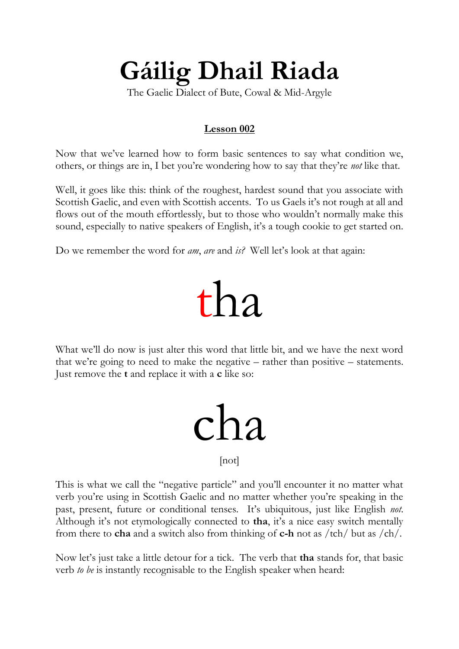#### **Gáilig Dhail Riada**

The Gaelic Dialect of Bute, Cowal & Mid-Argyle

#### **Lesson 002**

Now that we've learned how to form basic sentences to say what condition we, others, or things are in, I bet you're wondering how to say that they're *not* like that.

Well, it goes like this: think of the roughest, hardest sound that you associate with Scottish Gaelic, and even with Scottish accents. To us Gaels it's not rough at all and flows out of the mouth effortlessly, but to those who wouldn't normally make this sound, especially to native speakers of English, it's a tough cookie to get started on.

Do we remember the word for *am*, *are* and *is?* Well let's look at that again:

### tha

What we'll do now is just alter this word that little bit, and we have the next word that we're going to need to make the negative – rather than positive – statements. Just remove the **t** and replace it with a **c** like so:

# cha

[not]

This is what we call the "negative particle" and you'll encounter it no matter what verb you're using in Scottish Gaelic and no matter whether you're speaking in the past, present, future or conditional tenses. It's ubiquitous, just like English *not*. Although it's not etymologically connected to **tha**, it's a nice easy switch mentally from there to **cha** and a switch also from thinking of **c-h** not as /tch/ but as /ch/.

Now let's just take a little detour for a tick. The verb that **tha** stands for, that basic verb *to be* is instantly recognisable to the English speaker when heard: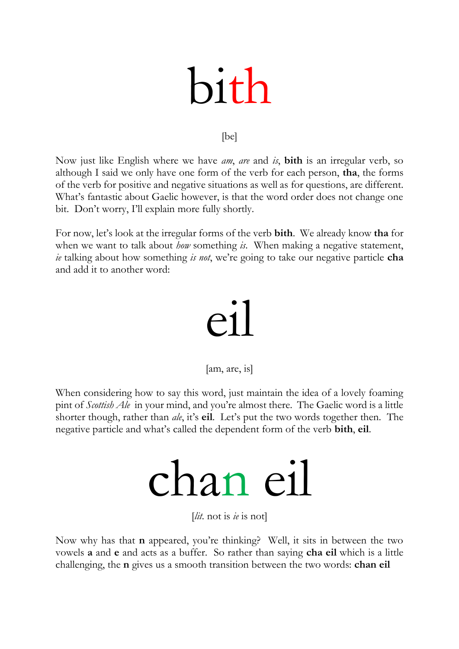# bith

#### [be]

Now just like English where we have *am*, *are* and *is*, **bith** is an irregular verb, so although I said we only have one form of the verb for each person, **tha**, the forms of the verb for positive and negative situations as well as for questions, are different. What's fantastic about Gaelic however, is that the word order does not change one bit. Don't worry, I'll explain more fully shortly.

For now, let's look at the irregular forms of the verb **bith**. We already know **tha** for when we want to talk about *how* something *is*. When making a negative statement, *ie* talking about how something *is not*, we're going to take our negative particle **cha** and add it to another word:

### $\rho$ 1

#### [am, are, is]

When considering how to say this word, just maintain the idea of a lovely foaming pint of *Scottish Ale* in your mind, and you're almost there. The Gaelic word is a little shorter though, rather than *ale*, it's **eil**. Let's put the two words together then. The negative particle and what's called the dependent form of the verb **bith**, **eil**.

## chan eil

[*lit.* not is *ie* is not]

Now why has that **n** appeared, you're thinking? Well, it sits in between the two vowels **a** and **e** and acts as a buffer. So rather than saying **cha eil** which is a little challenging, the **n** gives us a smooth transition between the two words: **chan eil**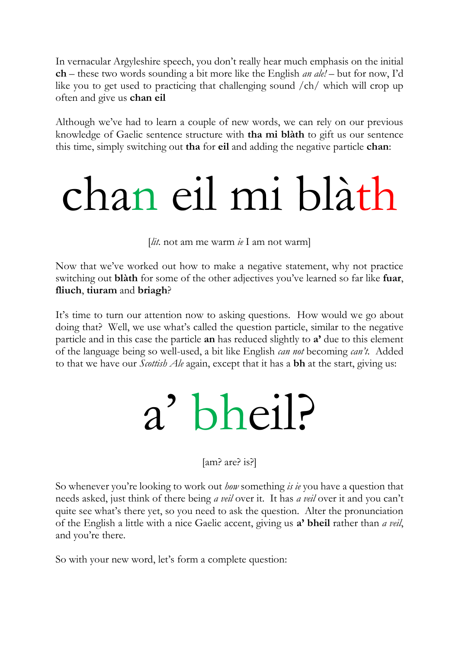In vernacular Argyleshire speech, you don't really hear much emphasis on the initial **ch** – these two words sounding a bit more like the English *an ale!* – but for now, I'd like you to get used to practicing that challenging sound /ch/ which will crop up often and give us **chan eil**

Although we've had to learn a couple of new words, we can rely on our previous knowledge of Gaelic sentence structure with **tha mi blàth** to gift us our sentence this time, simply switching out **tha** for **eil** and adding the negative particle **chan**:

## chan eil mi blàth

[*lit.* not am me warm *ie* I am not warm]

Now that we've worked out how to make a negative statement, why not practice switching out **blàth** for some of the other adjectives you've learned so far like **fuar**, **fliuch**, **tiuram** and **briagh**?

It's time to turn our attention now to asking questions. How would we go about doing that? Well, we use what's called the question particle, similar to the negative particle and in this case the particle **an** has reduced slightly to **a'** due to this element of the language being so well-used, a bit like English *can not* becoming *can't*. Added to that we have our *Scottish Ale* again, except that it has a **bh** at the start, giving us:

## a' bheil?

[am? are? is?]

So whenever you're looking to work out *how* something *is ie* you have a question that needs asked, just think of there being *a veil* over it. It has *a veil* over it and you can't quite see what's there yet, so you need to ask the question. Alter the pronunciation of the English a little with a nice Gaelic accent, giving us **a' bheil** rather than *a veil*, and you're there.

So with your new word, let's form a complete question: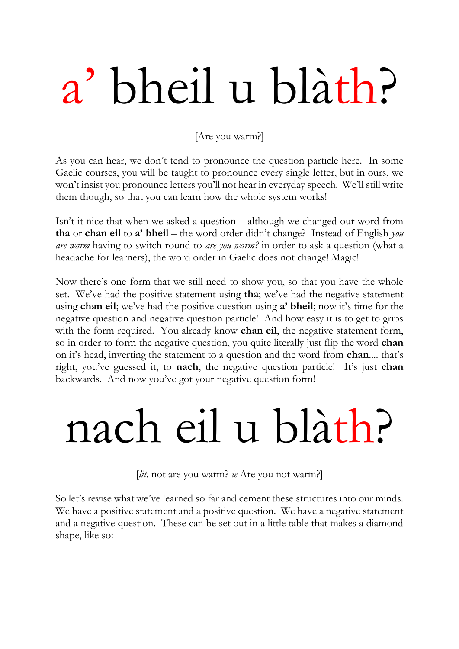# a' bheil u blàth?

[Are you warm?]

As you can hear, we don't tend to pronounce the question particle here. In some Gaelic courses, you will be taught to pronounce every single letter, but in ours, we won't insist you pronounce letters you'll not hear in everyday speech. We'll still write them though, so that you can learn how the whole system works!

Isn't it nice that when we asked a question – although we changed our word from **tha** or **chan eil** to **a' bheil** – the word order didn't change? Instead of English *you are warm* having to switch round to *are you warm?* in order to ask a question (what a headache for learners), the word order in Gaelic does not change! Magic!

Now there's one form that we still need to show you, so that you have the whole set. We've had the positive statement using **tha**; we've had the negative statement using **chan eil**; we've had the positive question using **a' bheil**; now it's time for the negative question and negative question particle! And how easy it is to get to grips with the form required. You already know **chan eil**, the negative statement form, so in order to form the negative question, you quite literally just flip the word **chan** on it's head, inverting the statement to a question and the word from **chan**.... that's right, you've guessed it, to **nach**, the negative question particle! It's just **chan** backwards. And now you've got your negative question form!

## nach eil u blàth?

[*lit.* not are you warm? *ie* Are you not warm?]

So let's revise what we've learned so far and cement these structures into our minds. We have a positive statement and a positive question. We have a negative statement and a negative question. These can be set out in a little table that makes a diamond shape, like so: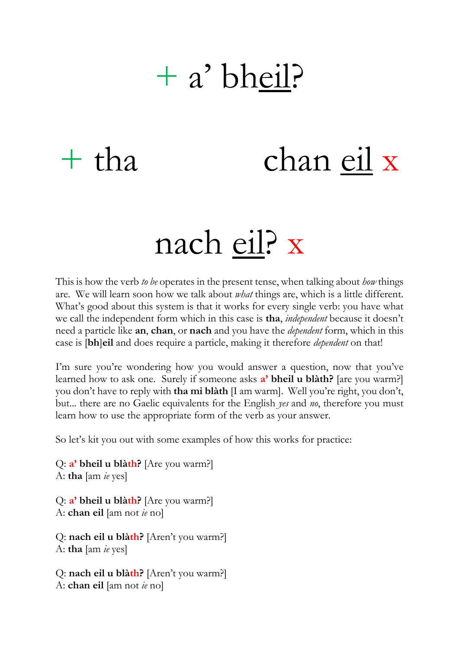### + a' bheil?

### + tha chan eil x

### nach eil? x

This is how the verb *to be* operates in the present tense, when talking about *how* things are. We will learn soon how we talk about *what* things are, which is a little different. What's good about this system is that it works for every single verb: you have what we call the independent form which in this case is **tha**, *independent* because it doesn't need a particle like **an**, **chan**, or **nach** and you have the *dependent* form, which in this case is [**bh**]**eil** and does require a particle, making it therefore *dependent* on that!

I'm sure you're wondering how you would answer a question, now that you've learned how to ask one. Surely if someone asks **a' bheil u blàth?** [are you warm?] you don't have to reply with **tha mi blàth** [I am warm]. Well you're right, you don't, but... there are no Gaelic equivalents for the English *yes* and *no*, therefore you must learn how to use the appropriate form of the verb as your answer.

So let's kit you out with some examples of how this works for practice:

Q: **a' bheil u blàth?** [Are you warm?] A: **tha** [am *ie* yes]

Q: **a' bheil u blàth?** [Are you warm?] A: **chan eil** [am not *ie* no]

```
Q: nach eil u blàth? [Aren't you warm?]
A: tha [am ie yes]
```

```
Q: nach eil u blàth? [Aren't you warm?]
A: chan eil [am not ie no]
```